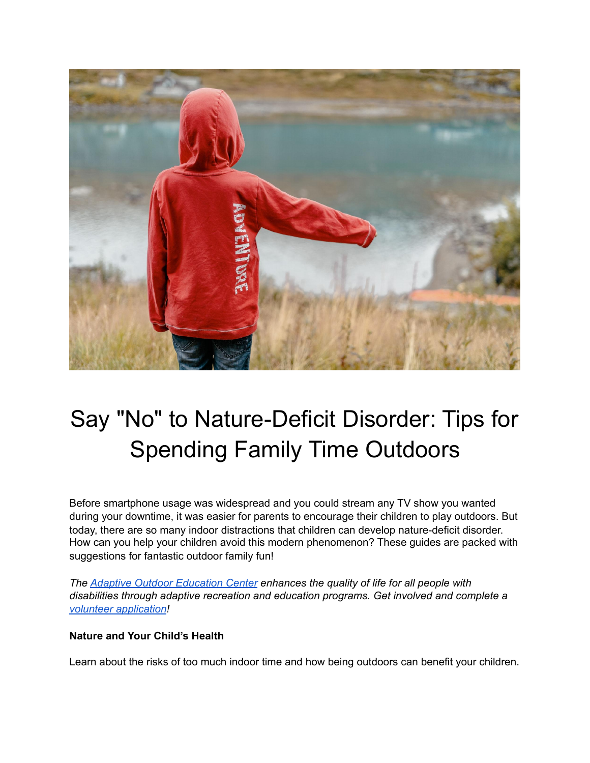

## Say "No" to Nature-Deficit Disorder: Tips for Spending Family Time Outdoors

Before smartphone usage was widespread and you could stream any TV show you wanted during your downtime, it was easier for parents to encourage their children to play outdoors. But today, there are so many indoor distractions that children can develop nature-deficit disorder. How can you help your children avoid this modern phenomenon? These guides are packed with suggestions for fantastic outdoor family fun!

*The [Adaptive Outdoor Education Center](https://www.adaptiveoutdooreducationcenter.org/) enhances the quality of life for all people with disabilities through adaptive recreation and education programs. Get involved and complete a [volunteer application!](https://www.adaptiveoutdooreducationcenter.org/getinvolved)* 

## **Nature and Your Child's Health**

Learn about the risks of too much indoor time and how being outdoors can benefit your children.